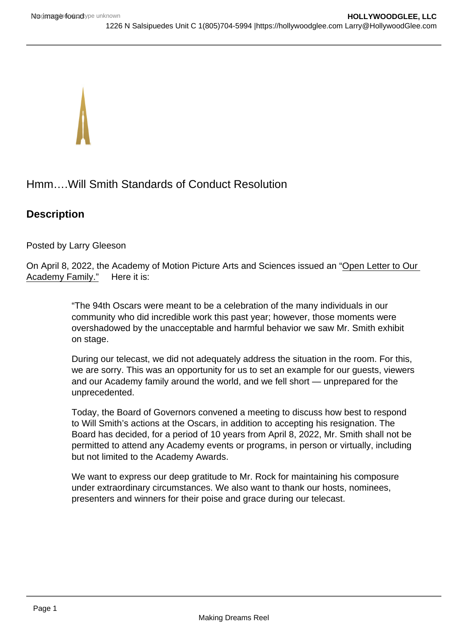Hmm….Will Smith Standards of Conduct Resolution

## **Description**

Posted by Larry Gleeson

On April 8, 2022, the Academy of Motion Picture Arts and Sciences issued an "Open Letter to Our Academy Family." Here it is:

> "The 94th Oscars were meant to be a celebration of the many individuals in our community who did incredible work this past year; however, those moments were overshadowed by the unacceptable and harmful behavior we saw Mr. Smith exhibit on stage.

During our telecast, we did not adequately address the situation in the room. For this, we are sorry. This was an opportunity for us to set an example for our guests, viewers and our Academy family around the world, and we fell short — unprepared for the unprecedented.

Today, the Board of Governors convened a meeting to discuss how best to respond to Will Smith's actions at the Oscars, in addition to accepting his resignation. The Board has decided, for a period of 10 years from April 8, 2022, Mr. Smith shall not be permitted to attend any Academy events or programs, in person or virtually, including but not limited to the Academy Awards.

We want to express our deep gratitude to Mr. Rock for maintaining his composure under extraordinary circumstances. We also want to thank our hosts, nominees, presenters and winners for their poise and grace during our telecast.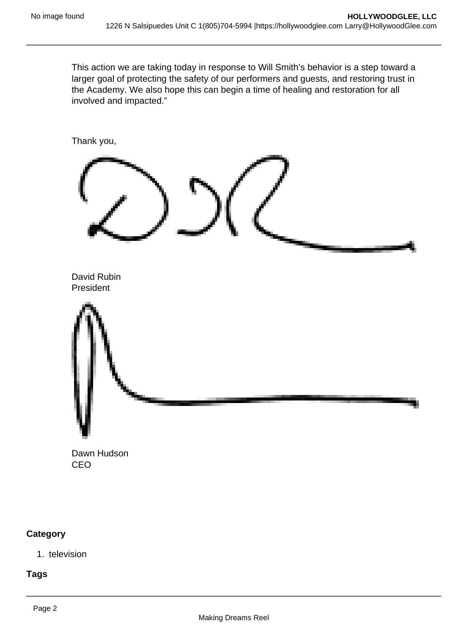This action we are taking today in response to Will Smith's behavior is a step toward a larger goal of protecting the safety of our performers and guests, and restoring trust in the Academy. We also hope this can begin a time of healing and restoration for all involved and impacted."



Dawn Hudson CEO

## **Category**

1. television

**Tags**